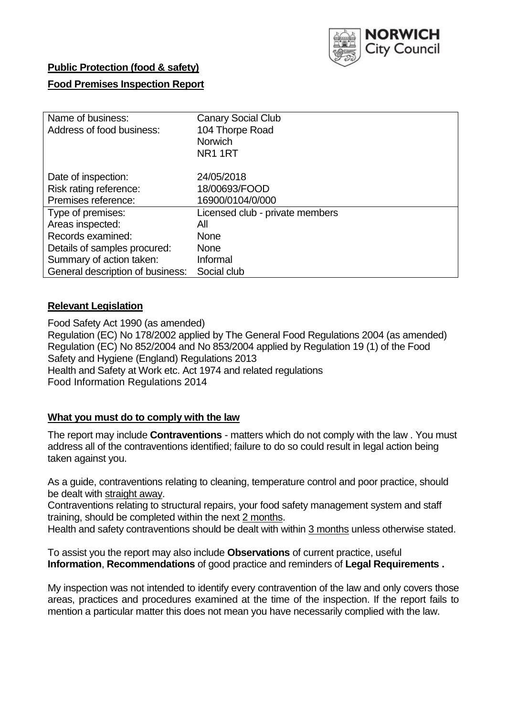

# **Public Protection (food & safety)**

# **Food Premises Inspection Report**

| Name of business:                | <b>Canary Social Club</b>       |
|----------------------------------|---------------------------------|
| Address of food business:        | 104 Thorpe Road                 |
|                                  | <b>Norwich</b>                  |
|                                  | NR <sub>1</sub> 1RT             |
| Date of inspection:              | 24/05/2018                      |
| Risk rating reference:           | 18/00693/FOOD                   |
| Premises reference:              | 16900/0104/0/000                |
| Type of premises:                | Licensed club - private members |
| Areas inspected:                 | All                             |
| Records examined:                | <b>None</b>                     |
| Details of samples procured:     | <b>None</b>                     |
| Summary of action taken:         | Informal                        |
| General description of business: | Social club                     |

## **Relevant Legislation**

Food Safety Act 1990 (as amended) Regulation (EC) No 178/2002 applied by The General Food Regulations 2004 (as amended) Regulation (EC) No 852/2004 and No 853/2004 applied by Regulation 19 (1) of the Food Safety and Hygiene (England) Regulations 2013 Health and Safety at Work etc. Act 1974 and related regulations Food Information Regulations 2014

# **What you must do to comply with the law**

The report may include **Contraventions** - matters which do not comply with the law . You must address all of the contraventions identified; failure to do so could result in legal action being taken against you.

As a guide, contraventions relating to cleaning, temperature control and poor practice, should be dealt with straight away.

Contraventions relating to structural repairs, your food safety management system and staff training, should be completed within the next 2 months.

Health and safety contraventions should be dealt with within 3 months unless otherwise stated.

To assist you the report may also include **Observations** of current practice, useful **Information**, **Recommendations** of good practice and reminders of **Legal Requirements .**

My inspection was not intended to identify every contravention of the law and only covers those areas, practices and procedures examined at the time of the inspection. If the report fails to mention a particular matter this does not mean you have necessarily complied with the law.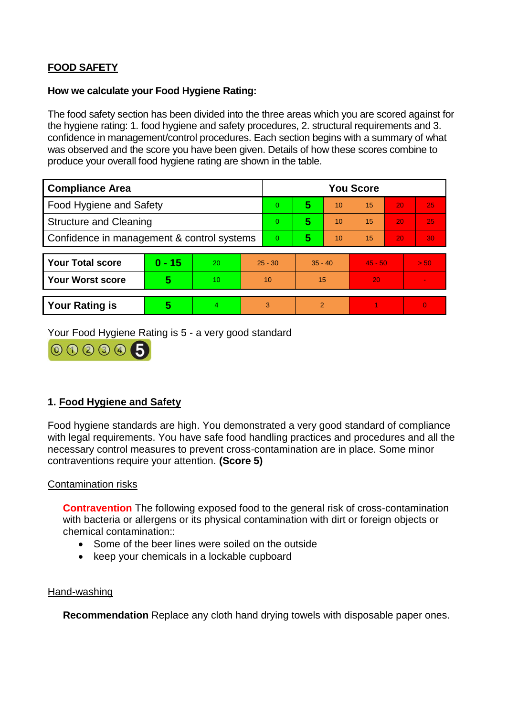# **FOOD SAFETY**

## **How we calculate your Food Hygiene Rating:**

The food safety section has been divided into the three areas which you are scored against for the hygiene rating: 1. food hygiene and safety procedures, 2. structural requirements and 3. confidence in management/control procedures. Each section begins with a summary of what was observed and the score you have been given. Details of how these scores combine to produce your overall food hygiene rating are shown in the table.

| <b>Compliance Area</b>                     |          |    |           | <b>You Score</b> |                |    |           |    |          |  |  |
|--------------------------------------------|----------|----|-----------|------------------|----------------|----|-----------|----|----------|--|--|
| Food Hygiene and Safety                    |          |    |           | $\Omega$         | 5              | 10 | 15        | 20 | 25       |  |  |
| <b>Structure and Cleaning</b>              |          |    | $\Omega$  | 5                | 10             | 15 | 20        | 25 |          |  |  |
| Confidence in management & control systems |          |    | $\Omega$  | 5                | 10             | 15 | 20        | 30 |          |  |  |
|                                            |          |    |           |                  |                |    |           |    |          |  |  |
| <b>Your Total score</b>                    | $0 - 15$ | 20 | $25 - 30$ |                  | $35 - 40$      |    | $45 - 50$ |    | > 50     |  |  |
| <b>Your Worst score</b>                    | 5        | 10 |           | 10               | 15             |    | 20        |    |          |  |  |
|                                            |          |    |           |                  |                |    |           |    |          |  |  |
| <b>Your Rating is</b>                      | 5        | 4  |           | 3                | $\overline{2}$ |    |           |    | $\Omega$ |  |  |

Your Food Hygiene Rating is 5 - a very good standard



# **1. Food Hygiene and Safety**

Food hygiene standards are high. You demonstrated a very good standard of compliance with legal requirements. You have safe food handling practices and procedures and all the necessary control measures to prevent cross-contamination are in place. Some minor contraventions require your attention. **(Score 5)**

## Contamination risks

**Contravention** The following exposed food to the general risk of cross-contamination with bacteria or allergens or its physical contamination with dirt or foreign objects or chemical contamination::

- Some of the beer lines were soiled on the outside
- keep your chemicals in a lockable cupboard

#### Hand-washing

**Recommendation** Replace any cloth hand drying towels with disposable paper ones.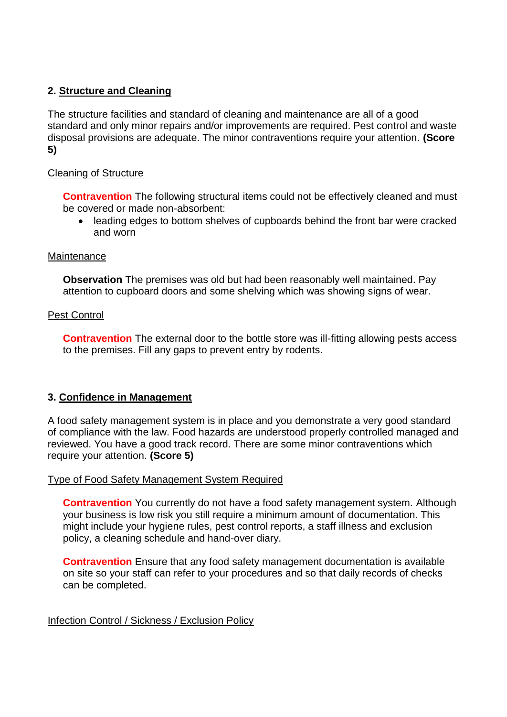# **2. Structure and Cleaning**

The structure facilities and standard of cleaning and maintenance are all of a good standard and only minor repairs and/or improvements are required. Pest control and waste disposal provisions are adequate. The minor contraventions require your attention. **(Score 5)**

## Cleaning of Structure

**Contravention** The following structural items could not be effectively cleaned and must be covered or made non-absorbent:

 leading edges to bottom shelves of cupboards behind the front bar were cracked and worn

#### **Maintenance**

**Observation** The premises was old but had been reasonably well maintained. Pay attention to cupboard doors and some shelving which was showing signs of wear.

### Pest Control

**Contravention** The external door to the bottle store was ill-fitting allowing pests access to the premises. Fill any gaps to prevent entry by rodents.

## **3. Confidence in Management**

A food safety management system is in place and you demonstrate a very good standard of compliance with the law. Food hazards are understood properly controlled managed and reviewed. You have a good track record. There are some minor contraventions which require your attention. **(Score 5)**

#### Type of Food Safety Management System Required

**Contravention** You currently do not have a food safety management system. Although your business is low risk you still require a minimum amount of documentation. This might include your hygiene rules, pest control reports, a staff illness and exclusion policy, a cleaning schedule and hand-over diary.

**Contravention** Ensure that any food safety management documentation is available on site so your staff can refer to your procedures and so that daily records of checks can be completed.

#### Infection Control / Sickness / Exclusion Policy